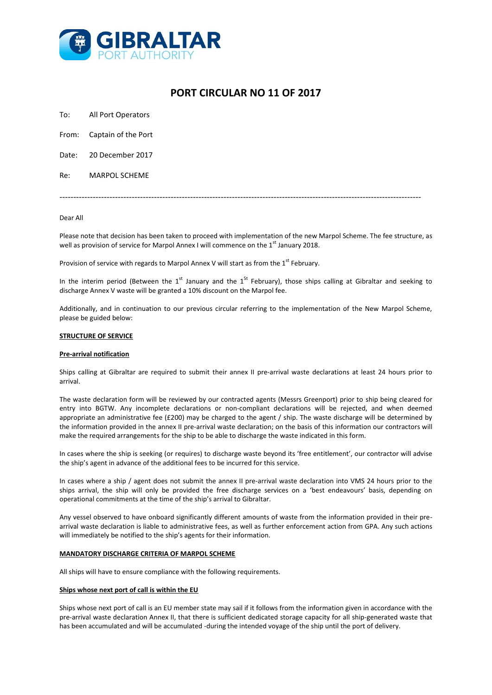

# **PORT CIRCULAR NO 11 OF 2017**

To: All Port Operators

From: Captain of the Port

Date: 20 December 2017

Re: MARPOL SCHEME

----------------------------------------------------------------------------------------------------------------------------------

### Dear All

Please note that decision has been taken to proceed with implementation of the new Marpol Scheme. The fee structure, as well as provision of service for Marpol Annex I will commence on the 1<sup>st</sup> January 2018.

Provision of service with regards to Marpol Annex V will start as from the  $1<sup>st</sup>$  February.

In the interim period (Between the 1<sup>st</sup> January and the 1<sup>St</sup> February), those ships calling at Gibraltar and seeking to discharge Annex V waste will be granted a 10% discount on the Marpol fee.

Additionally, and in continuation to our previous circular referring to the implementation of the New Marpol Scheme, please be guided below:

## **STRUCTURE OF SERVICE**

### **Pre-arrival notification**

Ships calling at Gibraltar are required to submit their annex II pre-arrival waste declarations at least 24 hours prior to arrival.

The waste declaration form will be reviewed by our contracted agents (Messrs Greenport) prior to ship being cleared for entry into BGTW. Any incomplete declarations or non-compliant declarations will be rejected, and when deemed appropriate an administrative fee (£200) may be charged to the agent / ship. The waste discharge will be determined by the information provided in the annex II pre-arrival waste declaration; on the basis of this information our contractors will make the required arrangements for the ship to be able to discharge the waste indicated in this form.

In cases where the ship is seeking (or requires) to discharge waste beyond its 'free entitlement', our contractor will advise the ship's agent in advance of the additional fees to be incurred for this service.

In cases where a ship / agent does not submit the annex II pre-arrival waste declaration into VMS 24 hours prior to the ships arrival, the ship will only be provided the free discharge services on a 'best endeavours' basis, depending on operational commitments at the time of the ship's arrival to Gibraltar.

Any vessel observed to have onboard significantly different amounts of waste from the information provided in their prearrival waste declaration is liable to administrative fees, as well as further enforcement action from GPA. Any such actions will immediately be notified to the ship's agents for their information.

## **MANDATORY DISCHARGE CRITERIA OF MARPOL SCHEME**

All ships will have to ensure compliance with the following requirements.

### **Ships whose next port of call is within the EU**

Ships whose next port of call is an EU member state may sail if it follows from the information given in accordance with the pre-arrival waste declaration Annex II, that there is sufficient dedicated storage capacity for all ship-generated waste that has been accumulated and will be accumulated -during the intended voyage of the ship until the port of delivery.